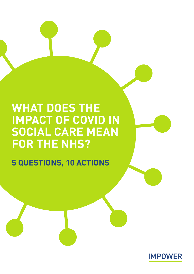# **WHAT DOES THE IMPACT OF COVID IN SOCIAL CARE MEAN FOR THE NHS?**

**5 QUESTIONS, 10 ACTIONS**

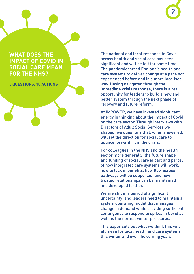## **WHAT DOES THE IMPACT OF COVID IN SOCIAL CARE MEAN FOR THE NHS?**

**5 QUESTIONS, 10 ACTIONS**

The national and local response to Covid across health and social care has been significant and will be felt for some time. The pandemic forced England's health and care systems to deliver change at a pace not experienced before and in a more localised way. Having navigated through the immediate crisis response, there is a real opportunity for leaders to build a new and better system through the next phase of recovery and future reform.

At IMPOWER, we have invested significant energy in thinking about the impact of Covid on the care sector. Through interviews with Directors of Adult Social Services we shaped five questions that, when answered, will set the direction for social care to bounce forward from the crisis.

For colleagues in the NHS and the health sector more generally, the future shape and funding of social care is part and parcel of how integrated care systems will work, how to lock in benefits, how flow across pathways will be supported, and how trusted relationships can be maintained and developed further.

We are still in a period of significant uncertainty, and leaders need to maintain a system operating model that manages change in demand while providing sufficient contingency to respond to spikes in Covid as well as the normal winter pressures.

This paper sets out what we think this will all mean for local health and care systems this winter and over the coming years.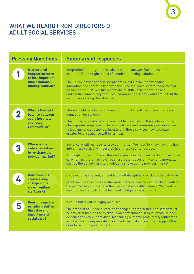# WHAT WE HEARD FROM DIRECTORS OF ADULT SOCIAL SERVICES

| <b>Pressing Questions</b> |                                                                                                       | <b>Summary of responses</b>                                                                                                                                                                                                                                                                                                                                                                                                                                                               |  |
|---------------------------|-------------------------------------------------------------------------------------------------------|-------------------------------------------------------------------------------------------------------------------------------------------------------------------------------------------------------------------------------------------------------------------------------------------------------------------------------------------------------------------------------------------------------------------------------------------------------------------------------------------|--|
|                           | <b>Is structural</b><br>integration more<br>or less important<br>than a national<br>funding solution? | Integration for integration's sake is not the answer. But it does offer<br>solutions if done right ahead of a national funding solution.<br>The unique power of adult social care is in its local understanding,<br>innovation and community partnering. The top down 'command & control'<br>culture of the NHS will likely continue to stifle local innovation and<br>undermine connectivity with local communities. Many would arque that the<br>sector risks losing this at its peril. |  |
| $\overline{2}$            | What is the right<br>balance between<br>acute hospitals<br>and local<br>communities?                  | There should be a focus on a new community health and care offer as a<br>foundation for renewal.<br>The future national strategy must not focus solely on the acute settings, but<br>place greater emphasis on local social care and community organisations<br>to lead any crisis response. Investing in these services now to create<br>greater local resilience will be critical.                                                                                                      |  |
|                           | <b>Where is the</b><br>radical ambition<br>to re-shape the<br>provider market?                        | Social care will reshape its provider market. We need to know how this ties<br>into a more vertically integrated health provider landscape.<br>Although in the short term the sector needs to maintain market provision of<br>care homes, there has never been a greater opportunity to fundamentally<br>change the out-of-hospital model and shake up the provider market.                                                                                                               |  |
|                           | <b>How does this</b><br>create a step<br>change in the<br>ways frontline<br>staff work?               | By developing enabled, embedded, multidisciplinary work across pathways.<br>Frontline professionals see the value of these new ways of working, both for<br>the people they support and their personal work-life balance. We need to<br>support this through digital tech and collegiate ways of working.                                                                                                                                                                                 |  |
| 5                         | Does this mark a<br>paradigm shift in<br>the value and<br>importance of<br>social care?               | It could but it will be highly localised.<br>The brand of adult social care has changed for the better. The sector must<br>be braver at holding the mirror up on performance. It must measure and<br>evidence the value it provides. Measuring outcome productivity (outcomes<br>achieved for money invested) is a good way to do this and will support the<br>case for a funding settlement.                                                                                             |  |

3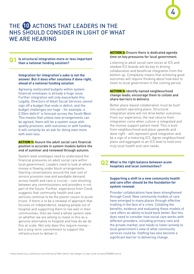

# THE (10 ACTIONS THAT LEADERS IN THE NHS SHOULD CONSIDER IN LIGHT OF WHAT WE ARE HEARING

#### **Is structural integration more or less important than a national funding solution? Q1**

### **Integration for integration's sake is not the answer. But it does offer solutions if done right, ahead of a national funding solution**

Agreeing reallocated budgets within system financial envelopes is already a huge issue. Further integration will only exacerbate this. Legally, Directors of Adult Social Services cannot sign off a budget that ends in deficit, and the budget challenges are huge - for example, a  $£106m$  deficit<sup>1</sup> is forecast across the South West. This means that unless new arrangements can be agreed, there will be a system issue with quality provision, with outcomes or with funding. It will certainly be an ask for doing even more with even less.

### **ACTION 1:** Assure the adult social care financial position is accurate in system models before the end of summer and reviewed through autumn.

System level envelopes need to understand the financial pressures on adult social care within local government. Leaders need to look at where money is flowing under block arrangements. Starting conversations around the real cost of service provision now and avoidable demand across health and care is crucial – cost shunting between any commissioners and providers is not part of the future. Further, experience from Covid suggests that community health and care services continue to be the poorer cousin to acute trusts. If there is to be a renewal of approach that focuses on independence, keeping people out of hospital and supporting them to live well in their communities, then we need a whole system view on whether we are willing to invest in this as a genuine alternative to hospital and how do we do this at scale. Not only does this require money – but a long-term commitment to support the infrastructure to deliver it.

### **ACTION 2:** Ensure there is dedicated agenda time on key pressures for local government.

Listening to adult social care voices at ICS and shadow ICS boards will be key to driving collaboration and beneficial integration from the bottom up. Complexity means that achieving good outcomes will require thinking about how best to listen to local government in the coming period.

### **ACTION 3:** Identify named neighbourhood change leads; encourage them to collate and share barriers to delivery.

Better place-based collaboration must be built into system operating plans. Structural integration alone will not drive better outcomes. From our experience, the real returns from integration come when culture is integrated and the monies support patient need. This is built from neighbourhood and place upwards and done right - will represent good integration and be a sign of a maturing ICS. Agree neighbourhood plans and aggregate to an ICS level to hold onto truly local health and care needs.

#### **What is the right balance between acute hospitals and local communities? Q2**

### **Supporting a shift to a new community health and care offer should be the foundation for system renewal**

Provider collaborations have been strengthened through Covid. New community models of care have emerged in many places through effective trialling in the face of a crisis. Collating the benefits, evidence and evaluating these models of care offers an ability to build back better. But this does need to consider how social care works with different providers, including primary care and the private market, and needs to listen actively to local government's view of what community services could be. Staffing has also become a significant barrier to delivering change.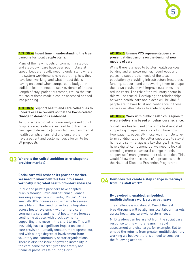#### **ACTION 4:** Invest time in understanding the true baseline for local people plans.

Many of the new models of community step-up and step-down care have been put in place at speed. Leaders rapidly need to understand where the system workforce is now operating, how they have been working, and what impact this is having on spend when compared to budget. In addition, leaders need to seek evidence of impact (length of stay, patient outcomes, etc) so the true returns of these models can be assessed and fed into planning.

#### **ACTION 5:** Support health and care colleagues to undertake case reviews so that the Covid-related change to demand is evidenced.

To build a new model of community-based out of hospital care, leaders also need to look at the new type of demands (co-morbidities, new mental health complications, etc) and ensure that they have a patient and customer voice forum to test all proposals.

#### **Where is the radical ambition to re-shape the provider market? Q3**

### **Social care will reshape its provider market. We need to know how this ties into a more vertically integrated health provider landscape**

Public and private providers have adapted quickly through Covid and national guidance. Working alongside our clients, IMPOWER has seen 20-30% increases in discharge to assess since March. The trend for vertical integration across health systems – with primary care, community care and mental health – we foresee continuing at pace, with block payments supporting this move in the short term. This will inevitably have a significant impact on social care provision – usually smaller, more spread out, and with a large degree of involvement from voluntary and community sector organisations. There is also the issue of growing instability in the care home market given the activity and financial pressures felt during Covid.

#### **ACTION 6:** Ensure VCS representatives are present at discussions on the design of new models of care.

While there is a need to bolster health services. building and empowering neighbourhoods and places to support the needs of the local population by providing infrastructure (resources, funding, support) and empowering them to shape their own provision will improve outcomes and reduce costs. The role of the voluntary sector in this will be crucial. Developing the relationships between health, care and places will be vital if people are to have trust and confidence in those services as alternatives to acute hospitals.

### **ACTION 7:** Work with public health colleagues to ensure delivery is based on behavioural science.

Social care has focused on a home first model of supporting independence for a long time now. How patients, especially those with multiple longterm conditions, can be better supported to stay at home and self-manage is a key change. This will have a digital component, but we need to look at extending more behavioural change models to support self-management and risk reduction. This would follow the successes of approaches such as the National Diabetes Prevention Programme.

#### **How does this create a step change in the ways frontline staff work? Q4**

#### **By developing enabled, embedded, multidisciplinary work across pathways**

The challenge is substantial. One of the real breakthroughs will be aligning local labour markets across health and care with system needs.

NHS leaders can learn a lot from the social care response to this – more teams in rapid assessment and discharge, for example. But to embed the returns from greater multidisciplinary working we believe there is a need to consider the following actions: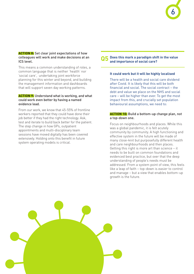### **ACTION 8:** Set clear joint expectations of how colleagues will work and make decisions at an ICS level.

This means a common understanding of roles, a common language that is neither 'health' nor 'social care', undertaking joint workforce planning for this winter and beyond, and building the management information and dashboards that will support seven day working patterns.

#### **ACTION 9:** Understand what is working, and what could work even better by having a named evidence lead.

From our work, we know that 45-55% of frontline workers reported that they could have done their job better if they had the right technology. Ask, test and iterate to build back better for the patient. The step change in how GPs, outpatient appointments and multi-disciplinary team sessions have moved digitally has been covered extensively. Holding onto this benefit in future system operating models is critical.

#### **Does this mark a paradigm shift in the value and importance of social care? Q5**

6

#### **It could work but it will be highly localised**

There will be a health and social care dividend after Covid. It is likely that this will be both financial and social. The social contract – the debt and value we place on the NHS and social care – will be higher than ever. To get the most impact from this, and crucially set population behavioural assumptions, we need to:

### **ACTION 10:** Build a bottom-up change plan, not a top-down one.

Focus on neighbourhoods and places. While this was a global pandemic, it is felt acutely community by community. A high functioning and effective system in the future will be made of many close-knit but purposefully different health and care neighbourhoods and then places. Getting this right is more art than science – it needs to be built on common foundations and evidenced best practice, but over that the deep understanding of people's needs must be addressed. From a system point of view, this feels like a leap of faith – top-down is easier to control and manage – but a view that enables bottom-up growth is the future.

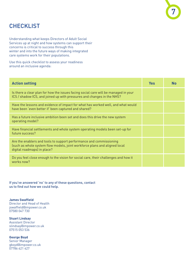# **CHECKLIST**

Understanding what keeps Directors of Adult Social Services up at night and how systems can support their concerns is critical to success through this winter and into the future ways of making integrated care systems work for their populations.

Use this quick checklist to assess your readiness around an inclusive agenda:

| <b>Action setting</b>                                                                                                                                                            | <b>Yes</b> | <b>No</b> |
|----------------------------------------------------------------------------------------------------------------------------------------------------------------------------------|------------|-----------|
| Is there a clear plan for how the issues facing social care will be managed in your<br>ICS / shadow ICS, and joined up with pressures and changes in the NHS?                    |            |           |
| Have the lessons and evidence of impact for what has worked well, and what would<br>have been 'even better if' been captured and shared?                                         |            |           |
| Has a future inclusive ambition been set and does this drive the new system<br>operating model?                                                                                  |            |           |
| Have financial settlements and whole system operating models been set-up for<br>future success?                                                                                  |            |           |
| Are the enablers and tools to support performance and commissioning<br>(such as whole system flow models, joint workforce plans and aligned local<br>digital roadmaps) in place? |            |           |
| Do you feel close enough to the vision for social care, their challenges and how it<br>works now?                                                                                |            |           |

7

If you've answered 'no' to any of these questions, contact us to find out how we could help.

**James Swaffield** Director and Head of Health jswaffield@impower.co.uk 07580 047 730

**Stuart Lindsay** Assistant Director slindsay@impower.co.uk 07515 053 536

**George Boyd** Senior Manager gboyd@impower.co.uk 07786 621 427